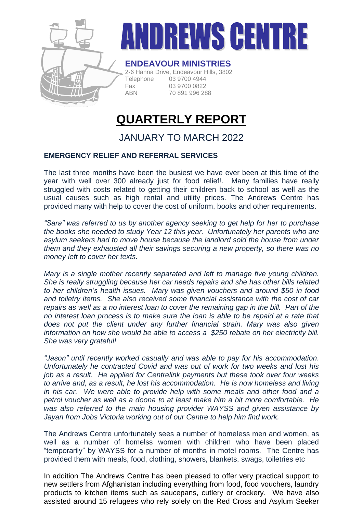

# DREWS CENT

### **ENDEAVOUR MINISTRIES**

2-6 Hanna Drive, Endeavour Hills, 3802 Telephone 03 9700 4944 Fax 03 9700 0822 ABN 70 891 996 288

# **QUARTERLY REPORT**

## JANUARY TO MARCH 2022

#### **EMERGENCY RELIEF AND REFERRAL SERVICES**

The last three months have been the busiest we have ever been at this time of the year with well over 300 already just for food relief!. Many families have really struggled with costs related to getting their children back to school as well as the usual causes such as high rental and utility prices. The Andrews Centre has provided many with help to cover the cost of uniform, books and other requirements.

*"Sara" was referred to us by another agency seeking to get help for her to purchase the books she needed to study Year 12 this year. Unfortunately her parents who are asylum seekers had to move house because the landlord sold the house from under them and they exhausted all their savings securing a new property, so there was no money left to cover her texts.*

*Mary is a single mother recently separated and left to manage five young children. She is really struggling because her car needs repairs and she has other bills related to her children's health issues. Mary was given vouchers and around \$50 in food and toiletry items. She also received some financial assistance with the cost of car repairs as well as a no interest loan to cover the remaining gap in the bill. Part of the no interest loan process is to make sure the loan is able to be repaid at a rate that does not put the client under any further financial strain. Mary was also given information on how she would be able to access a \$250 rebate on her electricity bill. She was very grateful!*

*"Jason" until recently worked casually and was able to pay for his accommodation. Unfortunately he contracted Covid and was out of work for two weeks and lost his job as a result. He applied for Centrelink payments but these took over four weeks to arrive and, as a result, he lost his accommodation. He is now homeless and living in his car. We were able to provide help with some meals and other food and a petrol voucher as well as a doona to at least make him a bit more comfortable. He was also referred to the main housing provider WAYSS and given assistance by Jayan from Jobs Victoria working out of our Centre to help him find work.*

The Andrews Centre unfortunately sees a number of homeless men and women, as well as a number of homelss women with children who have been placed "temporarily" by WAYSS for a number of months in motel rooms. The Centre has provided them with meals, food, clothing, showers, blankets, swags, toiletries etc

In addition The Andrews Centre has been pleased to offer very practical support to new settlers from Afghanistan including everything from food, food vouchers, laundry products to kitchen items such as saucepans, cutlery or crockery. We have also assisted around 15 refugees who rely solely on the Red Cross and Asylum Seeker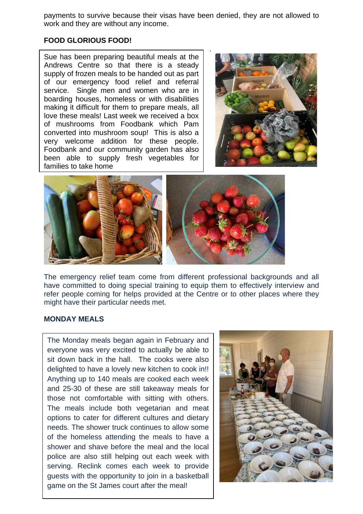payments to survive because their visas have been denied, they are not allowed to work and they are without any income.

#### **FOOD GLORIOUS FOOD!**

Sue has been preparing beautiful meals at the Andrews Centre so that there is a steady supply of frozen meals to be handed out as part of our emergency food relief and referral service. Single men and women who are in boarding houses, homeless or with disabilities making it difficult for them to prepare meals, all love these meals! Last week we received a box of mushrooms from Foodbank which Pam converted into mushroom soup! This is also a very welcome addition for these people. Foodbank and our community garden has also been able to supply fresh vegetables for families to take home





The emergency relief team come from different professional backgrounds and all have committed to doing special training to equip them to effectively interview and refer people coming for helps provided at the Centre or to other places where they might have their particular needs met.

#### **MONDAY MEALS**

The Monday meals began again in February and everyone was very excited to actually be able to sit down back in the hall. The cooks were also delighted to have a lovely new kitchen to cook in!! Anything up to 140 meals are cooked each week and 25-30 of these are still takeaway meals for those not comfortable with sitting with others. The meals include both vegetarian and meat options to cater for different cultures and dietary needs. The shower truck continues to allow some of the homeless attending the meals to have a shower and shave before the meal and the local police are also still helping out each week with serving. Reclink comes each week to provide guests with the opportunity to join in a basketball game on the St James court after the meal!

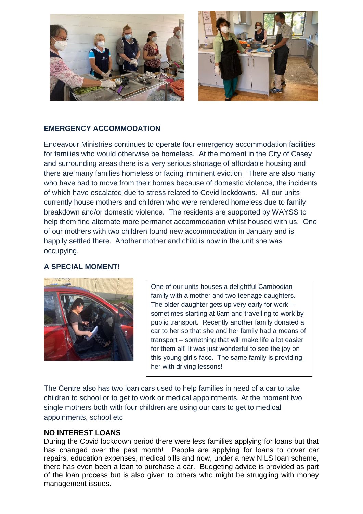

#### **EMERGENCY ACCOMMODATION**

Endeavour Ministries continues to operate four emergency accommodation facilities for families who would otherwise be homeless. At the moment in the City of Casey and surrounding areas there is a very serious shortage of affordable housing and there are many families homeless or facing imminent eviction. There are also many who have had to move from their homes because of domestic violence, the incidents of which have escalated due to stress related to Covid lockdowns. All our units currently house mothers and children who were rendered homeless due to family breakdown and/or domestic violence. The residents are supported by WAYSS to help them find alternate more permanet accommodation whilst housed with us. One of our mothers with two children found new accommodation in January and is happily settled there. Another mother and child is now in the unit she was occupying.

#### **A SPECIAL MOMENT!**



One of our units houses a delightful Cambodian family with a mother and two teenage daughters. The older daughter gets up very early for work  $$ sometimes starting at 6am and travelling to work by public transport. Recently another family donated a car to her so that she and her family had a means of transport – something that will make life a lot easier for them all! It was just wonderful to see the joy on this young girl's face. The same family is providing her with driving lessons!

The Centre also has two loan cars used to help families in need of a car to take children to school or to get to work or medical appointments. At the moment two single mothers both with four children are using our cars to get to medical appoinments, school etc

#### **NO INTEREST LOANS**

During the Covid lockdown period there were less families applying for loans but that has changed over the past month! People are applying for loans to cover car repairs, education expenses, medical bills and now, under a new NILS loan scheme, there has even been a loan to purchase a car. Budgeting advice is provided as part of the loan process but is also given to others who might be struggling with money management issues.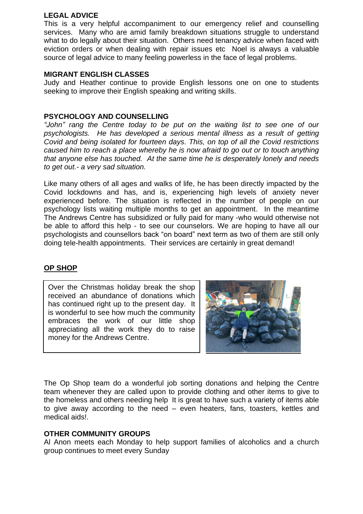#### **LEGAL ADVICE**

This is a very helpful accompaniment to our emergency relief and counselling services. Many who are amid family breakdown situations struggle to understand what to do legally about their situation. Others need tenancy advice when faced with eviction orders or when dealing with repair issues etc Noel is always a valuable source of legal advice to many feeling powerless in the face of legal problems.

#### **MIGRANT ENGLISH CLASSES**

Judy and Heather continue to provide English lessons one on one to students seeking to improve their English speaking and writing skills.

#### **PSYCHOLOGY AND COUNSELLING**

*"John" rang the Centre today to be put on the waiting list to see one of our psychologists. He has developed a serious mental illness as a result of getting Covid and being isolated for fourteen days. This, on top of all the Covid restrictions caused him to reach a place whereby he is now afraid to go out or to touch anything that anyone else has touched. At the same time he is desperately lonely and needs to get out.- a very sad situation.* 

Like many others of all ages and walks of life, he has been directly impacted by the Covid lockdowns and has, and is, experiencing high levels of anxiety never experienced before. The situation is reflected in the number of people on our psychology lists waiting multiple months to get an appointment. In the meantime The Andrews Centre has subsidized or fully paid for many -who would otherwise not be able to afford this help - to see our counselors. We are hoping to have all our psychologists and counsellors back "on board" next term as two of them are still only doing tele-health appointments. Their services are certainly in great demand!

#### **OP SHOP**

Over the Christmas holiday break the shop received an abundance of donations which has continued right up to the present day. It is wonderful to see how much the community embraces the work of our little shop appreciating all the work they do to raise money for the Andrews Centre.



The Op Shop team do a wonderful job sorting donations and helping the Centre team whenever they are called upon to provide clothing and other items to give to the homeless and others needing help It is great to have such a variety of items able to give away according to the need – even heaters, fans, toasters, kettles and medical aids!.

#### **OTHER COMMUNITY GROUPS**

Al Anon meets each Monday to help support families of alcoholics and a church group continues to meet every Sunday